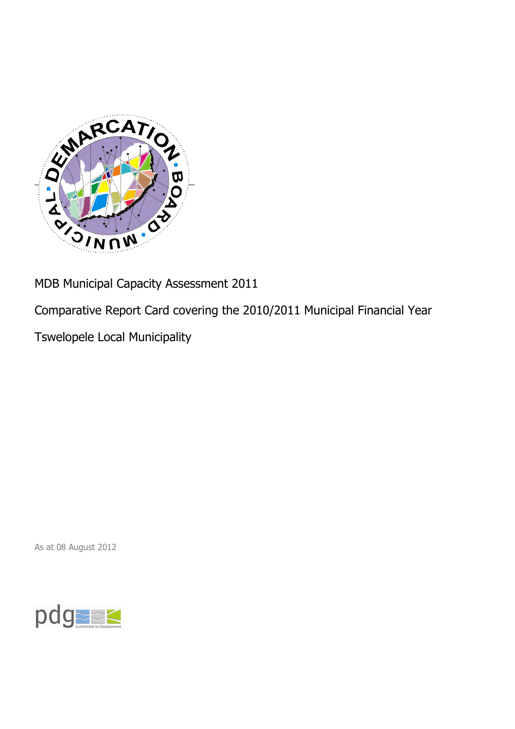

MDB Municipal Capacity Assessment 2011

Comparative Report Card covering the 2010/2011 Municipal Financial Year

Tswelopele Local Municipality

As at 08 August 2012

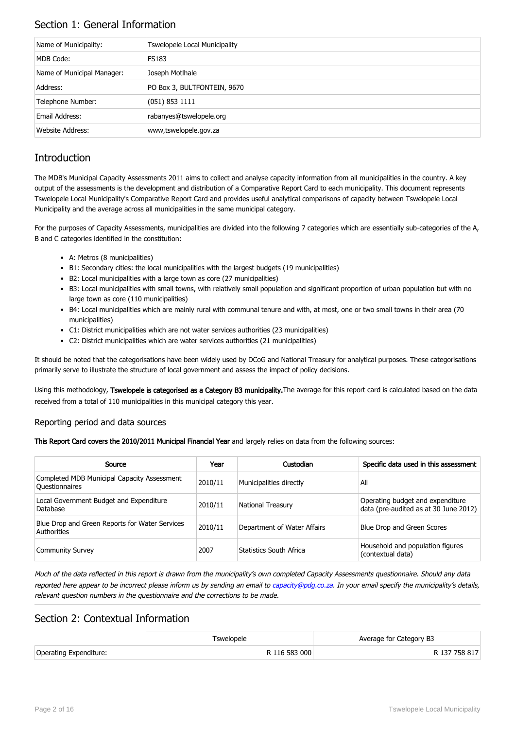## Section 1: General Information

| Name of Municipality:      | <b>Tswelopele Local Municipality</b> |
|----------------------------|--------------------------------------|
| MDB Code:                  | <b>FS183</b>                         |
| Name of Municipal Manager: | Joseph Motlhale                      |
| Address:                   | PO Box 3, BULTFONTEIN, 9670          |
| Telephone Number:          | $(051)$ 853 1111                     |
| Email Address:             | rabanyes@tswelopele.org              |
| Website Address:           | www,tswelopele.gov.za                |

## **Introduction**

The MDB's Municipal Capacity Assessments 2011 aims to collect and analyse capacity information from all municipalities in the country. A key output of the assessments is the development and distribution of a Comparative Report Card to each municipality. This document represents Tswelopele Local Municipality's Comparative Report Card and provides useful analytical comparisons of capacity between Tswelopele Local Municipality and the average across all municipalities in the same municipal category.

For the purposes of Capacity Assessments, municipalities are divided into the following 7 categories which are essentially sub-categories of the A, B and C categories identified in the constitution:

- A: Metros (8 municipalities)
- B1: Secondary cities: the local municipalities with the largest budgets (19 municipalities)
- B2: Local municipalities with a large town as core (27 municipalities)
- B3: Local municipalities with small towns, with relatively small population and significant proportion of urban population but with no large town as core (110 municipalities)
- B4: Local municipalities which are mainly rural with communal tenure and with, at most, one or two small towns in their area (70 municipalities)
- C1: District municipalities which are not water services authorities (23 municipalities)
- C2: District municipalities which are water services authorities (21 municipalities)

It should be noted that the categorisations have been widely used by DCoG and National Treasury for analytical purposes. These categorisations primarily serve to illustrate the structure of local government and assess the impact of policy decisions.

Using this methodology, Tswelopele is categorised as a Category B3 municipality. The average for this report card is calculated based on the data received from a total of 110 municipalities in this municipal category this year.

#### Reporting period and data sources

This Report Card covers the 2010/2011 Municipal Financial Year and largely relies on data from the following sources:

| Source                                                               | Year    | Custodian                   | Specific data used in this assessment                                     |
|----------------------------------------------------------------------|---------|-----------------------------|---------------------------------------------------------------------------|
| Completed MDB Municipal Capacity Assessment<br><b>Ouestionnaires</b> | 2010/11 | Municipalities directly     | All                                                                       |
| Local Government Budget and Expenditure<br>Database                  | 2010/11 | <b>National Treasury</b>    | Operating budget and expenditure<br>data (pre-audited as at 30 June 2012) |
| Blue Drop and Green Reports for Water Services<br>Authorities        | 2010/11 | Department of Water Affairs | Blue Drop and Green Scores                                                |
| <b>Community Survey</b>                                              | 2007    | Statistics South Africa     | Household and population figures<br>(contextual data)                     |

Much of the data reflected in this report is drawn from the municipality's own completed Capacity Assessments questionnaire. Should any data reported here appear to be incorrect please inform us by sending an email to [capacity@pdg.co.za](mailto:capacity@pdg.co.za). In your email specify the municipality's details, relevant question numbers in the questionnaire and the corrections to be made.

### Section 2: Contextual Information

|                        | <sup>r</sup> swelopele | Average for Category B3 |
|------------------------|------------------------|-------------------------|
| Operating Expenditure: | R 116 583 000          | R 137 758 817           |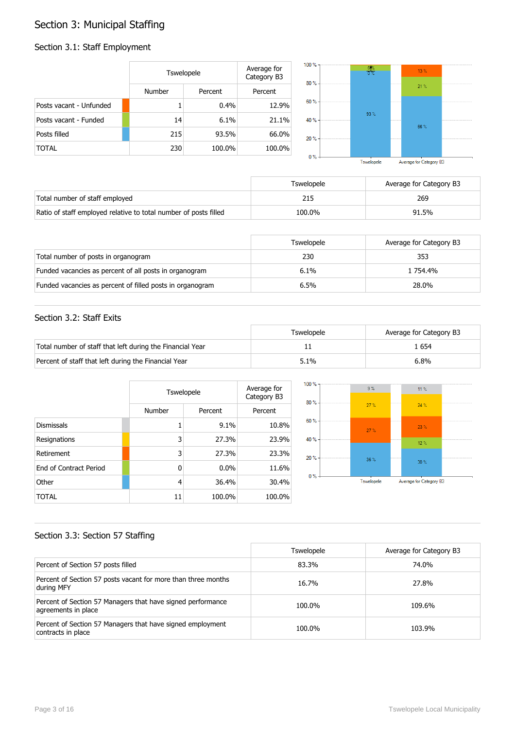## Section 3: Municipal Staffing

## Section 3.1: Staff Employment

|                         | Tswelopele    |         | Average for<br>Category B3 | $100 \%$ -<br>$80% -$ | $\frac{6}{0}$ % | 13%  |  |
|-------------------------|---------------|---------|----------------------------|-----------------------|-----------------|------|--|
|                         | <b>Number</b> | Percent | Percent                    |                       |                 | 21%  |  |
| Posts vacant - Unfunded |               | 0.4%    | 12.9%                      | 60 % -                |                 |      |  |
| Posts vacant - Funded   | 14            | 6.1%    | 21.1%                      | 40 % -                | 93%             | 66 % |  |
| Posts filled            | 215           | 93.5%   | 66.0%                      | 20%                   |                 |      |  |
| <b>TOTAL</b>            | 230           | 100.0%  | 100.0%                     | 0%                    |                 |      |  |

Tswelopele Average for Category B3

|                                                                  | Tswelopele | Average for Category B3 |
|------------------------------------------------------------------|------------|-------------------------|
| Total number of staff employed                                   |            | 269                     |
| Ratio of staff employed relative to total number of posts filled | 100.0%     | 91.5%                   |

|                                                           | Tswelopele | Average for Category B3 |
|-----------------------------------------------------------|------------|-------------------------|
| Total number of posts in organogram                       | 230        | 353                     |
| Funded vacancies as percent of all posts in organogram    | 6.1%       | 1 754.4%                |
| Funded vacancies as percent of filled posts in organogram | 6.5%       | 28.0%                   |

#### Section 3.2: Staff Exits

|                                                           | Tswelopele | Average for Category B3 |
|-----------------------------------------------------------|------------|-------------------------|
| Total number of staff that left during the Financial Year |            | . 654                   |
| Percent of staff that left during the Financial Year      | 5.1%       | 6.8%                    |

|                               |              | Tswelopele |         |  |
|-------------------------------|--------------|------------|---------|--|
|                               | Number       | Percent    | Percent |  |
| <b>Dismissals</b>             | 1            | 9.1%       | 10.8%   |  |
| Resignations                  | 3            | 27.3%      | 23.9%   |  |
| Retirement                    | 3            | 27.3%      | 23.3%   |  |
| <b>Fnd of Contract Period</b> | $\mathbf{0}$ | 0.0%       | 11.6%   |  |
| Other                         | 4            | 36.4%      | 30.4%   |  |
| TOTAL                         | 11           | 100.0%     | 100.0%  |  |



#### Section 3.3: Section 57 Staffing

|                                                                                    | <b>Tswelopele</b> | Average for Category B3 |
|------------------------------------------------------------------------------------|-------------------|-------------------------|
| Percent of Section 57 posts filled                                                 | 83.3%             | 74.0%                   |
| Percent of Section 57 posts vacant for more than three months<br>during MFY        | 16.7%             | 27.8%                   |
| Percent of Section 57 Managers that have signed performance<br>agreements in place | 100.0%            | 109.6%                  |
| Percent of Section 57 Managers that have signed employment<br>contracts in place   | 100.0%            | 103.9%                  |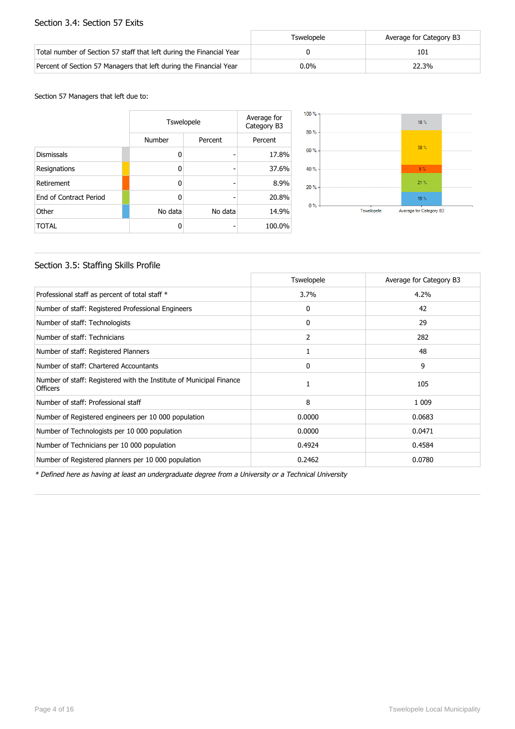#### Section 3.4: Section 57 Exits

|                                                                      | Tswelopele | Average for Category B3 |
|----------------------------------------------------------------------|------------|-------------------------|
| Total number of Section 57 staff that left during the Financial Year |            | 101                     |
| Percent of Section 57 Managers that left during the Financial Year   | $0.0\%$    | 22.3%                   |

#### Section 57 Managers that left due to:

|                        | Tswelopele | Average for<br>Category B3 |         |
|------------------------|------------|----------------------------|---------|
|                        | Number     | Percent                    | Percent |
| <b>Dismissals</b>      | 0          |                            | 17.8%   |
| Resignations           | 0          | -                          | 37.6%   |
| Retirement             | 0          |                            | 8.9%    |
| End of Contract Period | O          |                            | 20.8%   |
| Other                  | No data    | No data                    | 14.9%   |
| <b>TOTAL</b>           | 0          |                            | 100.0%  |



#### Section 3.5: Staffing Skills Profile

|                                                                                        | <b>Tswelopele</b> | Average for Category B3 |
|----------------------------------------------------------------------------------------|-------------------|-------------------------|
| Professional staff as percent of total staff *                                         | 3.7%              | 4.2%                    |
| Number of staff: Registered Professional Engineers                                     | 0                 | 42                      |
| Number of staff: Technologists                                                         | 0                 | 29                      |
| Number of staff: Technicians                                                           | 2                 | 282                     |
| Number of staff: Registered Planners                                                   | 1                 | 48                      |
| Number of staff: Chartered Accountants                                                 | 0                 | 9                       |
| Number of staff: Registered with the Institute of Municipal Finance<br><b>Officers</b> |                   | 105                     |
| Number of staff: Professional staff                                                    | 8                 | 1 0 0 9                 |
| Number of Registered engineers per 10 000 population                                   | 0.0000            | 0.0683                  |
| Number of Technologists per 10 000 population                                          | 0.0000            | 0.0471                  |
| Number of Technicians per 10 000 population                                            | 0.4924            | 0.4584                  |
| Number of Registered planners per 10 000 population                                    | 0.2462            | 0.0780                  |

\* Defined here as having at least an undergraduate degree from a University or a Technical University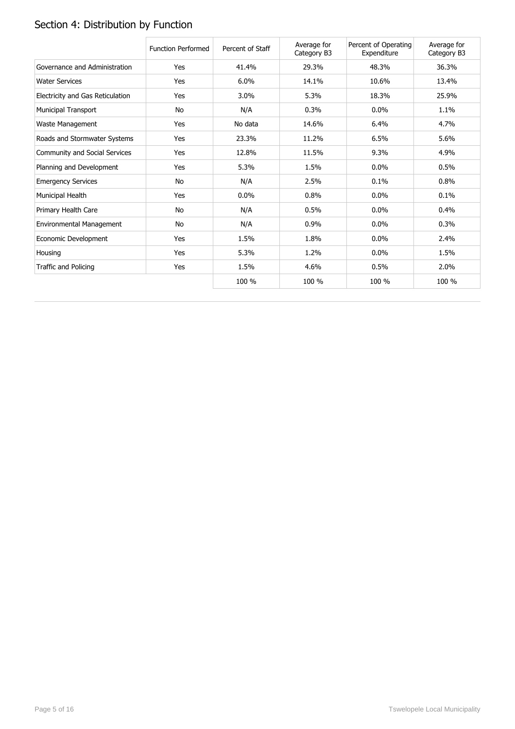# Section 4: Distribution by Function

|                                  | <b>Function Performed</b> | Percent of Staff | Average for<br>Category B3 | Percent of Operating<br>Expenditure | Average for<br>Category B3 |
|----------------------------------|---------------------------|------------------|----------------------------|-------------------------------------|----------------------------|
| Governance and Administration    | Yes                       | 41.4%            | 29.3%                      | 48.3%                               | 36.3%                      |
| <b>Water Services</b>            | Yes                       | 6.0%             | 14.1%                      | 10.6%                               | 13.4%                      |
| Electricity and Gas Reticulation | Yes                       | 3.0%             | 5.3%                       | 18.3%                               | 25.9%                      |
| Municipal Transport              | No                        | N/A              | 0.3%                       | $0.0\%$                             | 1.1%                       |
| Waste Management                 | Yes                       | No data          | 14.6%                      | 6.4%                                | 4.7%                       |
| Roads and Stormwater Systems     | Yes                       | 23.3%            | 11.2%                      | 6.5%                                | 5.6%                       |
| Community and Social Services    | Yes                       | 12.8%            | 11.5%                      | 9.3%                                | 4.9%                       |
| Planning and Development         | Yes                       | 5.3%             | 1.5%                       | 0.0%                                | 0.5%                       |
| <b>Emergency Services</b>        | No                        | N/A              | 2.5%                       | 0.1%                                | 0.8%                       |
| Municipal Health                 | Yes                       | 0.0%             | 0.8%                       | $0.0\%$                             | 0.1%                       |
| Primary Health Care              | No                        | N/A              | 0.5%                       | $0.0\%$                             | 0.4%                       |
| Environmental Management         | No                        | N/A              | 0.9%                       | 0.0%                                | 0.3%                       |
| Economic Development             | Yes                       | 1.5%             | 1.8%                       | 0.0%                                | 2.4%                       |
| Housing                          | Yes                       | 5.3%             | 1.2%                       | $0.0\%$                             | 1.5%                       |
| Traffic and Policing             | Yes                       | 1.5%             | 4.6%                       | 0.5%                                | 2.0%                       |
|                                  |                           | 100 %            | 100 %                      | 100 %                               | 100 %                      |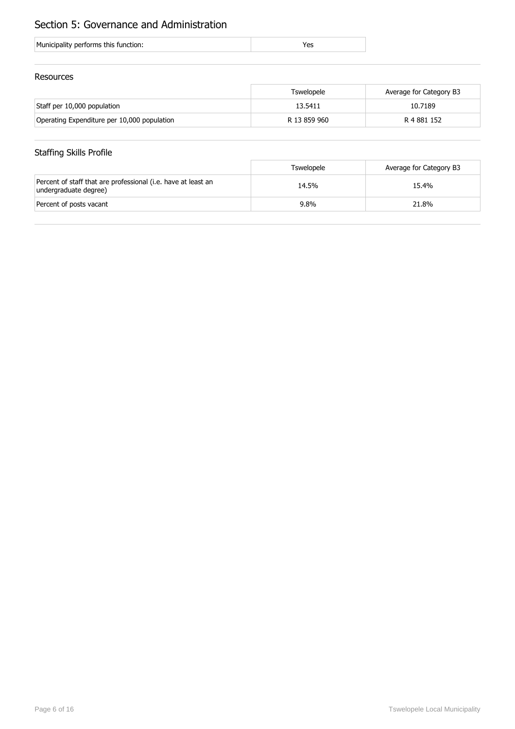## Section 5: Governance and Administration

| Municipality performs this function: |
|--------------------------------------|
|--------------------------------------|

#### Resources

|                                             | Tswelopele   | Average for Category B3 |
|---------------------------------------------|--------------|-------------------------|
| Staff per 10,000 population                 | 13.5411      | 10.7189                 |
| Operating Expenditure per 10,000 population | R 13 859 960 | R 4 881 152             |

## Staffing Skills Profile

|                                                                                        | Tswelopele | Average for Category B3 |
|----------------------------------------------------------------------------------------|------------|-------------------------|
| Percent of staff that are professional (i.e. have at least an<br>undergraduate degree) | 14.5%      | 15.4%                   |
| Percent of posts vacant                                                                | $9.8\%$    | 21.8%                   |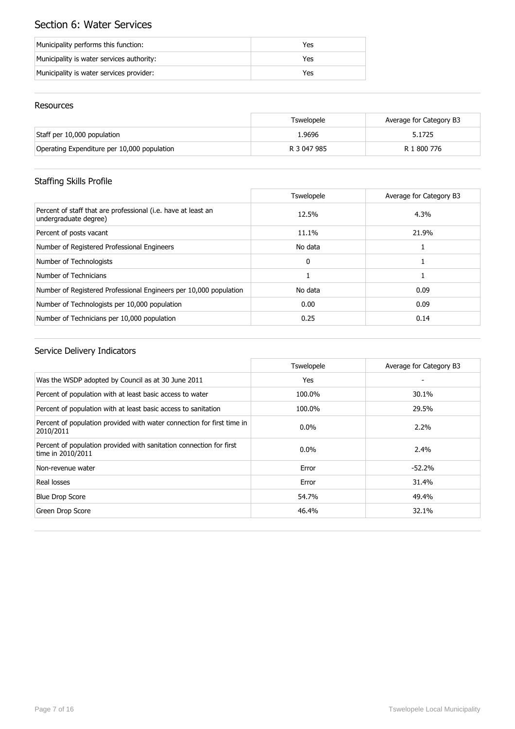## Section 6: Water Services

| Municipality performs this function:      | Yes |
|-------------------------------------------|-----|
| Municipality is water services authority: | Yes |
| Municipality is water services provider:  | Yes |

#### Resources

|                                             | Tswelopele  | Average for Category B3 |
|---------------------------------------------|-------------|-------------------------|
| Staff per 10,000 population                 | 1.9696      | 5.1725                  |
| Operating Expenditure per 10,000 population | R 3 047 985 | R 1 800 776             |

## Staffing Skills Profile

|                                                                                        | <b>Tswelopele</b> | Average for Category B3 |
|----------------------------------------------------------------------------------------|-------------------|-------------------------|
| Percent of staff that are professional (i.e. have at least an<br>undergraduate degree) | 12.5%             | 4.3%                    |
| Percent of posts vacant                                                                | 11.1%             | 21.9%                   |
| Number of Registered Professional Engineers                                            | No data           |                         |
| Number of Technologists                                                                | $\mathbf{0}$      |                         |
| Number of Technicians                                                                  |                   |                         |
| Number of Registered Professional Engineers per 10,000 population                      | No data           | 0.09                    |
| Number of Technologists per 10,000 population                                          | 0.00              | 0.09                    |
| Number of Technicians per 10,000 population                                            | 0.25              | 0.14                    |

|                                                                                          | Tswelopele | Average for Category B3 |
|------------------------------------------------------------------------------------------|------------|-------------------------|
| Was the WSDP adopted by Council as at 30 June 2011                                       | Yes        |                         |
| Percent of population with at least basic access to water                                | 100.0%     | 30.1%                   |
| Percent of population with at least basic access to sanitation                           | 100.0%     | 29.5%                   |
| Percent of population provided with water connection for first time in<br>2010/2011      | $0.0\%$    | $2.2\%$                 |
| Percent of population provided with sanitation connection for first<br>time in 2010/2011 | $0.0\%$    | 2.4%                    |
| Non-revenue water                                                                        | Error      | $-52.2%$                |
| Real losses                                                                              | Error      | 31.4%                   |
| <b>Blue Drop Score</b>                                                                   | 54.7%      | 49.4%                   |
| Green Drop Score                                                                         | 46.4%      | 32.1%                   |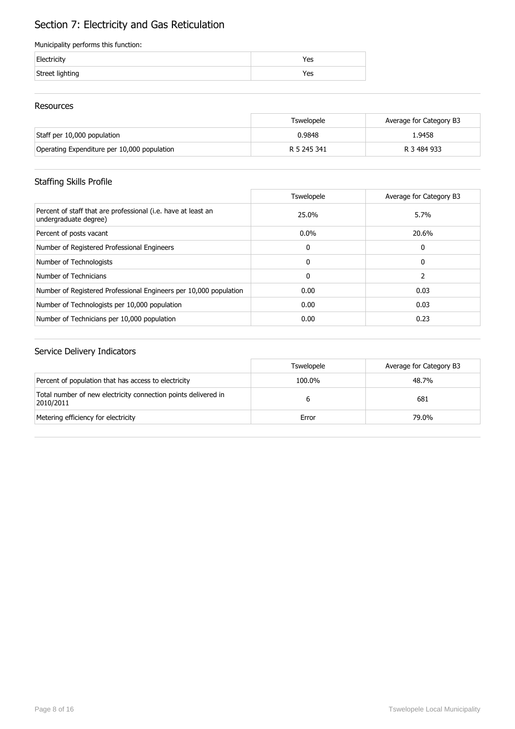## Section 7: Electricity and Gas Reticulation

#### Municipality performs this function:

| Electricity     | 'es |
|-----------------|-----|
| Street lighting | res |

#### Resources

|                                             | Tswelopele  | Average for Category B3 |
|---------------------------------------------|-------------|-------------------------|
| Staff per 10,000 population                 | 0.9848      | 1.9458                  |
| Operating Expenditure per 10,000 population | R 5 245 341 | R 3 484 933             |

## Staffing Skills Profile

|                                                                                        | <b>Tswelopele</b> | Average for Category B3 |
|----------------------------------------------------------------------------------------|-------------------|-------------------------|
| Percent of staff that are professional (i.e. have at least an<br>undergraduate degree) | 25.0%             | 5.7%                    |
| Percent of posts vacant                                                                | $0.0\%$           | 20.6%                   |
| Number of Registered Professional Engineers                                            | 0                 | 0                       |
| Number of Technologists                                                                | 0                 | 0                       |
| Number of Technicians                                                                  | 0                 |                         |
| Number of Registered Professional Engineers per 10,000 population                      | 0.00              | 0.03                    |
| Number of Technologists per 10,000 population                                          | 0.00              | 0.03                    |
| Number of Technicians per 10,000 population                                            | 0.00              | 0.23                    |

|                                                                             | <b>Tswelopele</b> | Average for Category B3 |
|-----------------------------------------------------------------------------|-------------------|-------------------------|
| Percent of population that has access to electricity                        | 100.0%            | 48.7%                   |
| Total number of new electricity connection points delivered in<br>2010/2011 |                   | 681                     |
| Metering efficiency for electricity                                         | Error             | 79.0%                   |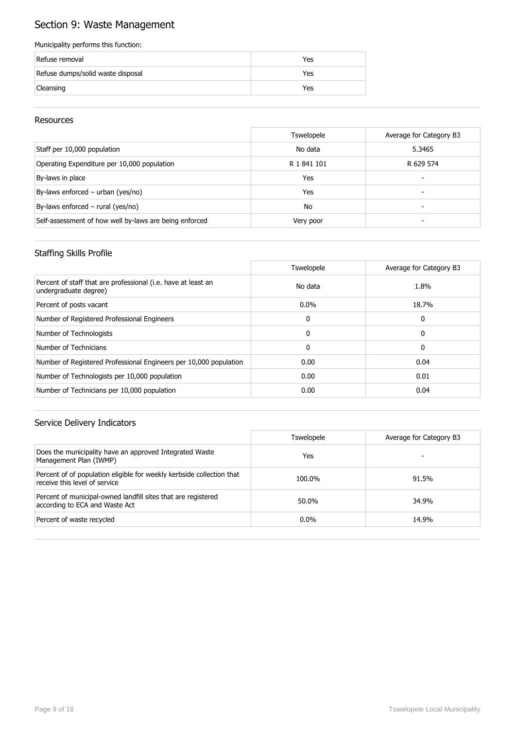## Section 9: Waste Management

#### Municipality performs this function:

| Refuse removal                    | Yes |
|-----------------------------------|-----|
| Refuse dumps/solid waste disposal | Yes |
| Cleansing                         | Yes |

#### Resources

|                                                        | <b>Tswelopele</b> | Average for Category B3 |
|--------------------------------------------------------|-------------------|-------------------------|
| Staff per 10,000 population                            | No data           | 5.3465                  |
| Operating Expenditure per 10,000 population            | R 1 841 101       | R 629 574               |
| By-laws in place                                       | Yes               | -                       |
| By-laws enforced – urban (yes/no)                      | Yes               | -                       |
| By-laws enforced $-$ rural (yes/no)                    | <b>No</b>         |                         |
| Self-assessment of how well by-laws are being enforced | Very poor         |                         |

#### Staffing Skills Profile

|                                                                                        | <b>Tswelopele</b> | Average for Category B3 |
|----------------------------------------------------------------------------------------|-------------------|-------------------------|
| Percent of staff that are professional (i.e. have at least an<br>undergraduate degree) | No data           | 1.8%                    |
| Percent of posts vacant                                                                | $0.0\%$           | 18.7%                   |
| Number of Registered Professional Engineers                                            | 0                 | 0                       |
| Number of Technologists                                                                | $\Omega$          | 0                       |
| Number of Technicians                                                                  | $\mathbf{0}$      | 0                       |
| Number of Registered Professional Engineers per 10,000 population                      | 0.00              | 0.04                    |
| Number of Technologists per 10,000 population                                          | 0.00              | 0.01                    |
| Number of Technicians per 10,000 population                                            | 0.00              | 0.04                    |

|                                                                                                        | <b>Tswelopele</b> | Average for Category B3 |
|--------------------------------------------------------------------------------------------------------|-------------------|-------------------------|
| Does the municipality have an approved Integrated Waste<br>Management Plan (IWMP)                      | Yes               |                         |
| Percent of of population eligible for weekly kerbside collection that<br>receive this level of service | 100.0%            | 91.5%                   |
| Percent of municipal-owned landfill sites that are registered<br>according to ECA and Waste Act        | 50.0%             | 34.9%                   |
| Percent of waste recycled                                                                              | $0.0\%$           | 14.9%                   |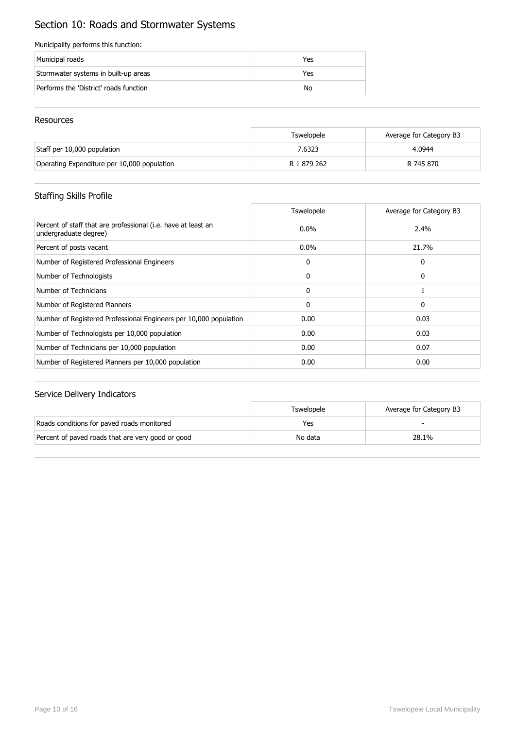## Section 10: Roads and Stormwater Systems

#### Municipality performs this function:

| Municipal roads                        | Yes |
|----------------------------------------|-----|
| Stormwater systems in built-up areas   | Yes |
| Performs the 'District' roads function | No  |

#### Resources

|                                             | Tswelopele  | Average for Category B3 |
|---------------------------------------------|-------------|-------------------------|
| Staff per 10,000 population                 | 7.6323      | 4.0944                  |
| Operating Expenditure per 10,000 population | R 1 879 262 | R 745 870               |

## Staffing Skills Profile

|                                                                                        | <b>Tswelopele</b> | Average for Category B3 |
|----------------------------------------------------------------------------------------|-------------------|-------------------------|
| Percent of staff that are professional (i.e. have at least an<br>undergraduate degree) | $0.0\%$           | 2.4%                    |
| Percent of posts vacant                                                                | $0.0\%$           | 21.7%                   |
| Number of Registered Professional Engineers                                            | 0                 | 0                       |
| Number of Technologists                                                                | 0                 | 0                       |
| Number of Technicians                                                                  | $\mathbf{0}$      |                         |
| Number of Registered Planners                                                          | 0                 | 0                       |
| Number of Registered Professional Engineers per 10,000 population                      | 0.00              | 0.03                    |
| Number of Technologists per 10,000 population                                          | 0.00              | 0.03                    |
| Number of Technicians per 10,000 population                                            | 0.00              | 0.07                    |
| Number of Registered Planners per 10,000 population                                    | 0.00              | 0.00                    |

|                                                   | Tswelopele | Average for Category B3 |
|---------------------------------------------------|------------|-------------------------|
| Roads conditions for paved roads monitored        | Yes        |                         |
| Percent of paved roads that are very good or good | No data    | 28.1%                   |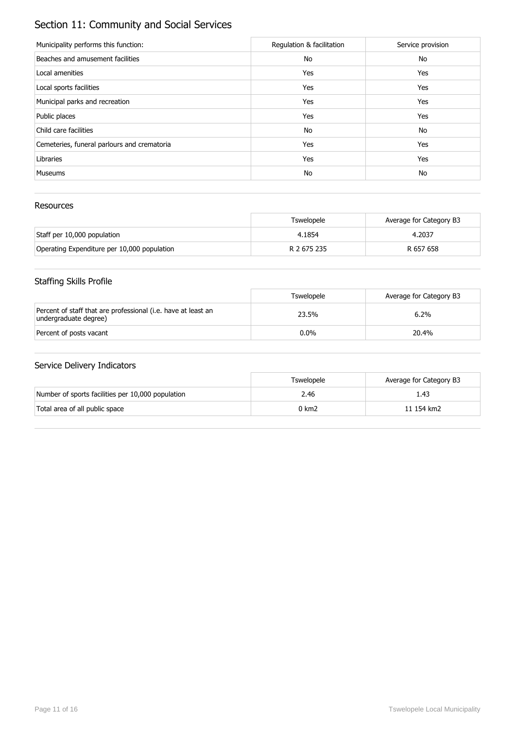## Section 11: Community and Social Services

| Municipality performs this function:        | Regulation & facilitation | Service provision |
|---------------------------------------------|---------------------------|-------------------|
| Beaches and amusement facilities            | No                        | No                |
| Local amenities                             | Yes                       | Yes               |
| Local sports facilities                     | Yes                       | Yes               |
| Municipal parks and recreation              | Yes                       | Yes               |
| Public places                               | Yes                       | Yes               |
| Child care facilities                       | No                        | No                |
| Cemeteries, funeral parlours and crematoria | Yes                       | Yes               |
| Libraries                                   | Yes                       | Yes               |
| <b>Museums</b>                              | No                        | No                |

#### Resources

|                                             | Tswelopele  | Average for Category B3 |
|---------------------------------------------|-------------|-------------------------|
| Staff per 10,000 population                 | 4.1854      | 4.2037                  |
| Operating Expenditure per 10,000 population | R 2 675 235 | R 657 658               |

## Staffing Skills Profile

|                                                                                        | Tswelopele | Average for Category B3 |
|----------------------------------------------------------------------------------------|------------|-------------------------|
| Percent of staff that are professional (i.e. have at least an<br>undergraduate degree) | 23.5%      | 6.2%                    |
| Percent of posts vacant                                                                | $0.0\%$    | 20.4%                   |

|                                                   | Tswelopele | Average for Category B3 |
|---------------------------------------------------|------------|-------------------------|
| Number of sports facilities per 10,000 population | 2.46       | 1.43                    |
| Total area of all public space                    | 0 km2      | 11 154 km2              |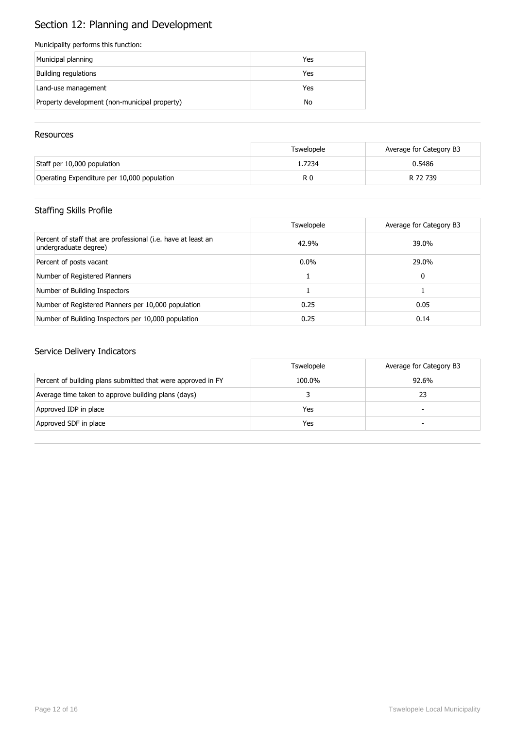# Section 12: Planning and Development

#### Municipality performs this function:

| Municipal planning                            | Yes |
|-----------------------------------------------|-----|
| Building regulations                          | Yes |
| Land-use management                           | Yes |
| Property development (non-municipal property) | No  |

#### **Resources**

|                                             | Tswelopele | Average for Category B3 |
|---------------------------------------------|------------|-------------------------|
| Staff per 10,000 population                 | 1.7234     | 0.5486                  |
| Operating Expenditure per 10,000 population | R 0        | R 72 739                |

## Staffing Skills Profile

|                                                                                        | Tswelopele | Average for Category B3 |
|----------------------------------------------------------------------------------------|------------|-------------------------|
| Percent of staff that are professional (i.e. have at least an<br>undergraduate degree) | 42.9%      | 39.0%                   |
| Percent of posts vacant                                                                | $0.0\%$    | 29.0%                   |
| Number of Registered Planners                                                          |            | 0                       |
| Number of Building Inspectors                                                          |            |                         |
| Number of Registered Planners per 10,000 population                                    | 0.25       | 0.05                    |
| Number of Building Inspectors per 10,000 population                                    | 0.25       | 0.14                    |

|                                                              | <b>Tswelopele</b> | Average for Category B3  |
|--------------------------------------------------------------|-------------------|--------------------------|
| Percent of building plans submitted that were approved in FY | 100.0%            | 92.6%                    |
| Average time taken to approve building plans (days)          |                   | 23                       |
| Approved IDP in place                                        | Yes               | $\overline{\phantom{0}}$ |
| Approved SDF in place                                        | Yes               | -                        |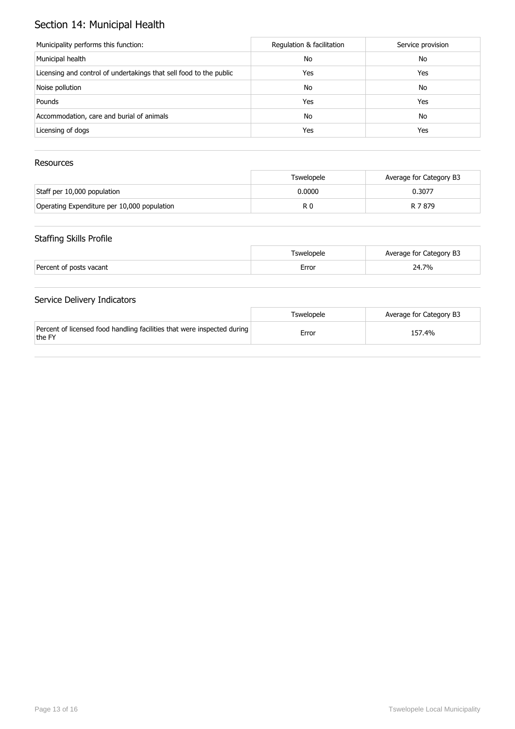## Section 14: Municipal Health

| Municipality performs this function:                               | Regulation & facilitation | Service provision |
|--------------------------------------------------------------------|---------------------------|-------------------|
| Municipal health                                                   | No                        | No                |
| Licensing and control of undertakings that sell food to the public | Yes                       | Yes               |
| Noise pollution                                                    | No                        | No                |
| Pounds                                                             | Yes                       | Yes               |
| Accommodation, care and burial of animals                          | No                        | No                |
| Licensing of dogs                                                  | Yes                       | Yes               |

#### Resources

|                                             | Tswelopele | Average for Category B3 |
|---------------------------------------------|------------|-------------------------|
| Staff per 10,000 population                 | 0.0000     | 0.3077                  |
| Operating Expenditure per 10,000 population | R O        | R 7879                  |

#### Staffing Skills Profile

|                         | Fswelopele | Average for Category B3 |
|-------------------------|------------|-------------------------|
| Percent of posts vacant | Error      | 24.7%                   |

|                                                                                   | Tswelopele | Average for Category B3 |
|-----------------------------------------------------------------------------------|------------|-------------------------|
| Percent of licensed food handling facilities that were inspected during<br>the FY | Error      | 157.4%                  |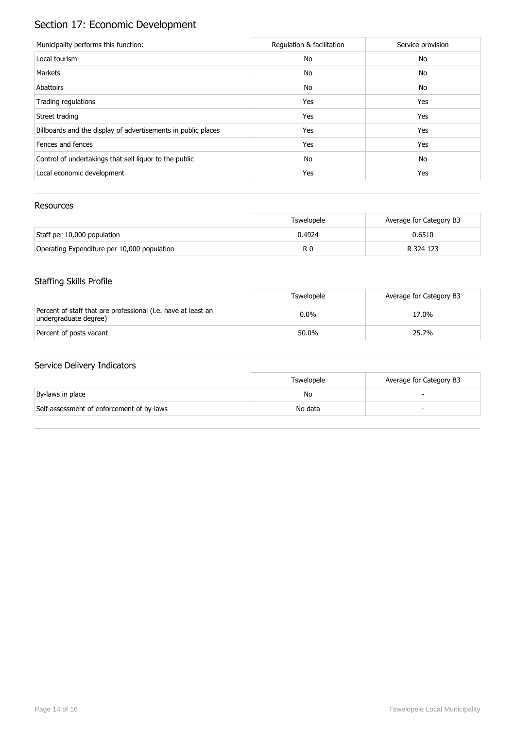# Section 17: Economic Development

| Municipality performs this function:                          | Regulation & facilitation | Service provision |
|---------------------------------------------------------------|---------------------------|-------------------|
| Local tourism                                                 | No                        | No                |
| Markets                                                       | No                        | No                |
| Abattoirs                                                     | No                        | No                |
| Trading regulations                                           | Yes                       | Yes               |
| Street trading                                                | Yes                       | Yes               |
| Billboards and the display of advertisements in public places | Yes                       | Yes               |
| Fences and fences                                             | Yes                       | Yes               |
| Control of undertakings that sell liquor to the public        | No                        | No                |
| Local economic development                                    | Yes                       | Yes               |

#### Resources

|                                             | <b>Tswelopele</b> | Average for Category B3 |
|---------------------------------------------|-------------------|-------------------------|
| Staff per 10,000 population                 | 0.4924            | 0.6510                  |
| Operating Expenditure per 10,000 population | R 0               | R 324 123               |

## Staffing Skills Profile

|                                                                                        | Tswelopele | Average for Category B3 |
|----------------------------------------------------------------------------------------|------------|-------------------------|
| Percent of staff that are professional (i.e. have at least an<br>undergraduate degree) | $0.0\%$    | 17.0%                   |
| Percent of posts vacant                                                                | 50.0%      | 25.7%                   |

|                                           | Tswelopele | Average for Category B3 |
|-------------------------------------------|------------|-------------------------|
| By-laws in place                          | No         |                         |
| Self-assessment of enforcement of by-laws | No data    |                         |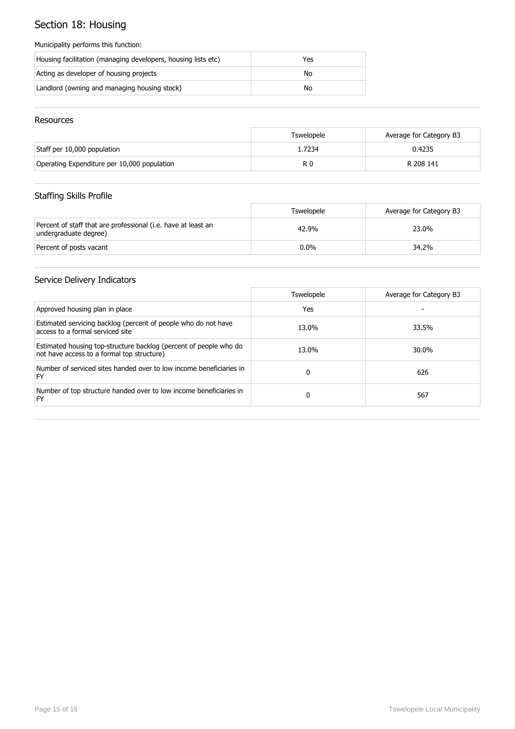# Section 18: Housing

#### Municipality performs this function:

| Housing facilitation (managing developers, housing lists etc) | Yes |
|---------------------------------------------------------------|-----|
| Acting as developer of housing projects                       | No  |
| Landlord (owning and managing housing stock)                  | No  |

#### Resources

|                                             | Tswelopele | Average for Category B3 |
|---------------------------------------------|------------|-------------------------|
| Staff per 10,000 population                 | 1.7234     | 0.4235                  |
| Operating Expenditure per 10,000 population | R 0        | R 208 141               |

## Staffing Skills Profile

|                                                                                        | <b>Tswelopele</b> | Average for Category B3 |
|----------------------------------------------------------------------------------------|-------------------|-------------------------|
| Percent of staff that are professional (i.e. have at least an<br>undergraduate degree) | 42.9%             | 23.0%                   |
| Percent of posts vacant                                                                | $0.0\%$           | 34.2%                   |

|                                                                                                                 | Tswelopele | Average for Category B3 |
|-----------------------------------------------------------------------------------------------------------------|------------|-------------------------|
| Approved housing plan in place                                                                                  | Yes        |                         |
| Estimated servicing backlog (percent of people who do not have<br>access to a formal serviced site              | 13.0%      | 33.5%                   |
| Estimated housing top-structure backlog (percent of people who do<br>not have access to a formal top structure) | 13.0%      | 30.0%                   |
| Number of serviced sites handed over to low income beneficiaries in<br>FY                                       | 0          | 626                     |
| Number of top structure handed over to low income beneficiaries in<br>FY                                        | 0          | 567                     |